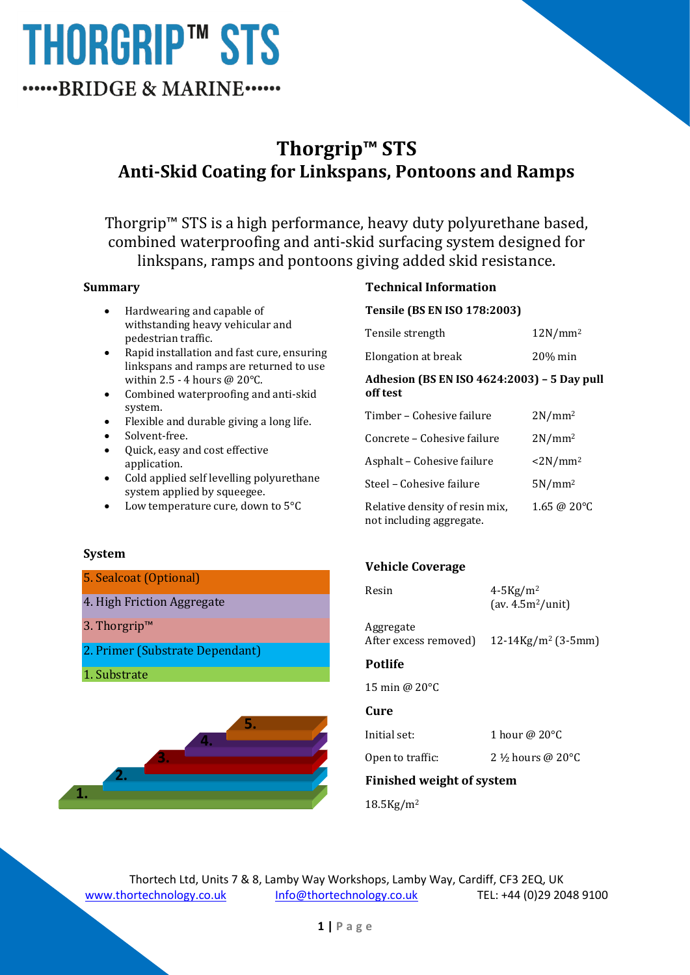## **Thorgrip™ STS Anti-Skid Coating for Linkspans, Pontoons and Ramps**

Thorgrip™ STS is a high performance, heavy duty polyurethane based, combined waterproofing and anti-skid surfacing system designed for linkspans, ramps and pontoons giving added skid resistance.

#### **Summary**

- Hardwearing and capable of withstanding heavy vehicular and pedestrian traffic.
- Rapid installation and fast cure, ensuring linkspans and ramps are returned to use within 2.5 - 4 hours @ 20°C.
- Combined waterproofing and anti-skid system.
- Flexible and durable giving a long life.
- Solvent-free.
- Quick, easy and cost effective application.
- Cold applied self levelling polyurethane system applied by squeegee.
- Low temperature cure, down to 5°C

### **Technical Information**

**Tensile (BS EN ISO 178:2003)**

| Tensile strength | $12N/mm^2$ |
|------------------|------------|
|                  |            |

Elongation at break 20% min

#### **Adhesion (BS EN ISO 4624:2003) – 5 Day pull off test**

| Timber – Cohesive failure                                  | $2N/mm^2$              |
|------------------------------------------------------------|------------------------|
| Concrete – Cohesive failure                                | $2N/mm^2$              |
| Asphalt - Cohesive failure                                 | $\langle 2N/mm^2$      |
| Steel - Cohesive failure                                   | $5N/mm^2$              |
| Relative density of resin mix,<br>not including aggregate. | $1.65 \ @ 20^{\circ}C$ |

#### **System**

#### 5. Sealcoat (Optional)

- 4. High Friction Aggregate
- 3. Thorgrip™
- 2. Primer (Substrate Dependant)
- 1. Substrate



### **Vehicle Coverage**

| Resin                              | $4-5$ Kg/m <sup>2</sup><br>$\left(\frac{av}{4.5m^2}{unit}\right)$ |
|------------------------------------|-------------------------------------------------------------------|
| Aggregate<br>After excess removed) | $12-14\,\mathrm{Kg/m^2}$ (3-5mm)                                  |
| <b>Potlife</b>                     |                                                                   |

15 min @ 20°C

### **Cure**

Initial set: 1 hour @ 20°C

Open to traffic:  $2\frac{1}{2}$  hours @ 20 $^{\circ}$ C

**Finished weight of system**

18.5Kg/m<sup>2</sup>

Thortech Ltd, Units 7 & 8, Lamby Way Workshops, Lamby Way, Cardiff, CF3 2EQ, UK [www.thortechnology.co.uk](http://www.thortechnology.co.uk/) [Info@thortechnology.co.uk](mailto:Info@thortechnology.co.uk) TEL: +44 (0)29 2048 9100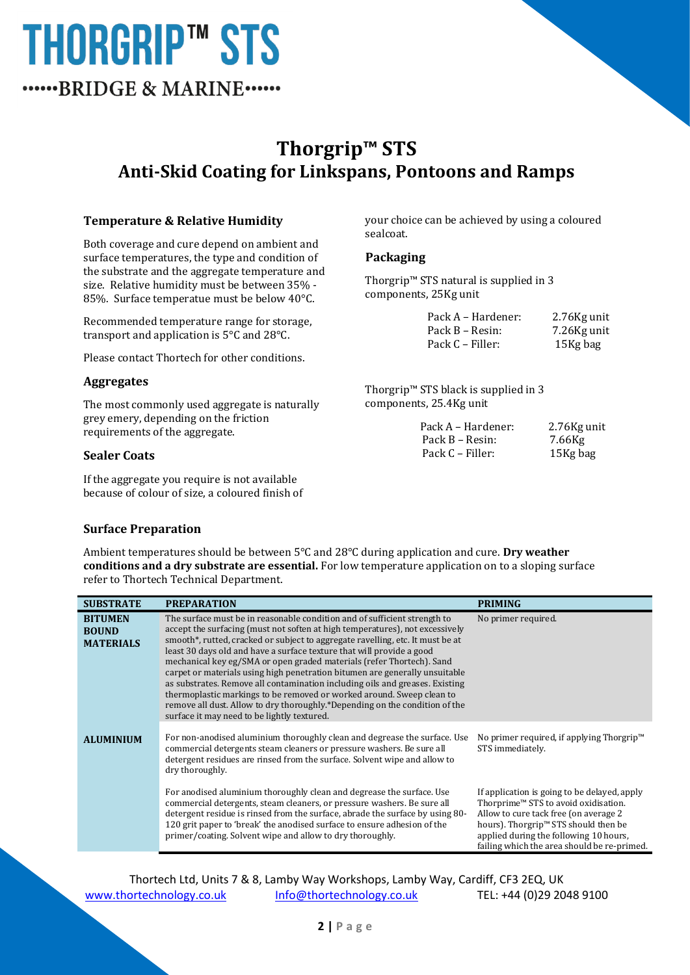## **Thorgrip™ STS Anti-Skid Coating for Linkspans, Pontoons and Ramps**

#### **Temperature & Relative Humidity**

Both coverage and cure depend on ambient and surface temperatures, the type and condition of the substrate and the aggregate temperature and size. Relative humidity must be between 35% - 85%. Surface temperatue must be below 40°C.

Recommended temperature range for storage, transport and application is 5°C and 28°C.

Please contact Thortech for other conditions.

#### **Aggregates**

The most commonly used aggregate is naturally grey emery, depending on the friction requirements of the aggregate.

#### **Sealer Coats**

If the aggregate you require is not available because of colour of size, a coloured finish of your choice can be achieved by using a coloured sealcoat.

#### **Packaging**

Thorgrip™ STS natural is supplied in 3 components, 25Kg unit

| Pack A – Hardener: | 2.76Kg unit |
|--------------------|-------------|
| Pack B – Resin:    | 7.26Kg unit |
| Pack C – Filler:   | 15Kg bag    |

Thorgrip™ STS black is supplied in 3 components, 25.4Kg unit

| Pack A – Hardener: | 2.76Kg unit |
|--------------------|-------------|
| Pack B – Resin:    | 7.66Kg      |
| Pack C – Filler:   | 15Kg bag    |

#### **Surface Preparation**

Ambient temperatures should be between 5°C and 28°C during application and cure. **Dry weather conditions and a dry substrate are essential.** For low temperature application on to a sloping surface refer to Thortech Technical Department.

| <b>SUBSTRATE</b>                                   | <b>PREPARATION</b>                                                                                                                                                                                                                                                                                                                                                                                                                                                                                                                                                                                                                                                                                                                                                  | <b>PRIMING</b>                                                                                                                                                                     |
|----------------------------------------------------|---------------------------------------------------------------------------------------------------------------------------------------------------------------------------------------------------------------------------------------------------------------------------------------------------------------------------------------------------------------------------------------------------------------------------------------------------------------------------------------------------------------------------------------------------------------------------------------------------------------------------------------------------------------------------------------------------------------------------------------------------------------------|------------------------------------------------------------------------------------------------------------------------------------------------------------------------------------|
| <b>BITUMEN</b><br><b>BOUND</b><br><b>MATERIALS</b> | The surface must be in reasonable condition and of sufficient strength to<br>accept the surfacing (must not soften at high temperatures), not excessively<br>smooth*, rutted, cracked or subject to aggregate ravelling, etc. It must be at<br>least 30 days old and have a surface texture that will provide a good<br>mechanical key eg/SMA or open graded materials (refer Thortech). Sand<br>carpet or materials using high penetration bitumen are generally unsuitable<br>as substrates. Remove all contamination including oils and greases. Existing<br>thermoplastic markings to be removed or worked around. Sweep clean to<br>remove all dust. Allow to dry thoroughly.*Depending on the condition of the<br>surface it may need to be lightly textured. | No primer required.                                                                                                                                                                |
| <b>ALUMINIUM</b>                                   | For non-anodised aluminium thoroughly clean and degrease the surface. Use<br>commercial detergents steam cleaners or pressure washers. Be sure all<br>detergent residues are rinsed from the surface. Solvent wipe and allow to<br>dry thoroughly.<br>For anodised aluminium thoroughly clean and degrease the surface. Use<br>commercial detergents, steam cleaners, or pressure washers. Be sure all                                                                                                                                                                                                                                                                                                                                                              | No primer required, if applying Thorgrip <sup>™</sup><br>STS immediately.<br>If application is going to be delayed, apply<br>Thorprime™ STS to avoid oxidisation.                  |
|                                                    | detergent residue is rinsed from the surface, abrade the surface by using 80-<br>120 grit paper to 'break' the anodised surface to ensure adhesion of the<br>primer/coating. Solvent wipe and allow to dry thoroughly.                                                                                                                                                                                                                                                                                                                                                                                                                                                                                                                                              | Allow to cure tack free (on average 2<br>hours). Thorgrip <sup>™</sup> STS should then be<br>applied during the following 10 hours,<br>failing which the area should be re-primed. |

Thortech Ltd, Units 7 & 8, Lamby Way Workshops, Lamby Way, Cardiff, CF3 2EQ, UK [www.thortechnology.co.uk](http://www.thortechnology.co.uk/) [Info@thortechnology.co.uk](mailto:Info@thortechnology.co.uk) TEL: +44 (0)29 2048 9100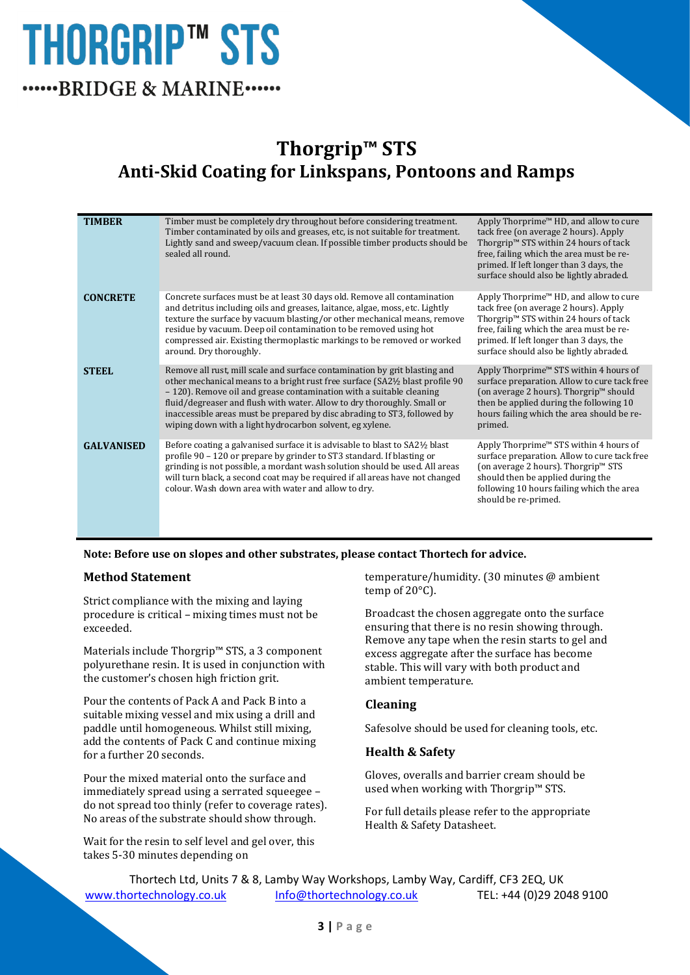## **Thorgrip™ STS Anti-Skid Coating for Linkspans, Pontoons and Ramps**

| <b>TIMBER</b>     | Timber must be completely dry throughout before considering treatment.<br>Timber contaminated by oils and greases, etc, is not suitable for treatment.<br>Lightly sand and sweep/vacuum clean. If possible timber products should be<br>sealed all round.                                                                                                                                                                                            | Apply Thorprime™ HD, and allow to cure<br>tack free (on average 2 hours). Apply<br>Thorgrip <sup>™</sup> STS within 24 hours of tack<br>free, failing which the area must be re-<br>primed. If left longer than 3 days, the<br>surface should also be lightly abraded. |
|-------------------|------------------------------------------------------------------------------------------------------------------------------------------------------------------------------------------------------------------------------------------------------------------------------------------------------------------------------------------------------------------------------------------------------------------------------------------------------|------------------------------------------------------------------------------------------------------------------------------------------------------------------------------------------------------------------------------------------------------------------------|
| <b>CONCRETE</b>   | Concrete surfaces must be at least 30 days old. Remove all contamination<br>and detritus including oils and greases, laitance, algae, moss, etc. Lightly<br>texture the surface by vacuum blasting/or other mechanical means, remove<br>residue by vacuum. Deep oil contamination to be removed using hot<br>compressed air. Existing thermoplastic markings to be removed or worked<br>around. Dry thoroughly.                                      | Apply Thorprime™ HD, and allow to cure<br>tack free (on average 2 hours). Apply<br>Thorgrip <sup>™</sup> STS within 24 hours of tack<br>free, failing which the area must be re-<br>primed. If left longer than 3 days, the<br>surface should also be lightly abraded. |
| <b>STEEL</b>      | Remove all rust, mill scale and surface contamination by grit blasting and<br>other mechanical means to a bright rust free surface (SA2½ blast profile 90<br>- 120). Remove oil and grease contamination with a suitable cleaning<br>fluid/degreaser and flush with water. Allow to dry thoroughly. Small or<br>inaccessible areas must be prepared by disc abrading to ST3, followed by<br>wiping down with a light hydrocarbon solvent, eg xylene. | Apply Thorprime™ STS within 4 hours of<br>surface preparation. Allow to cure tack free<br>(on average 2 hours). Thorgrip™ should<br>then be applied during the following 10<br>hours failing which the area should be re-<br>primed.                                   |
| <b>GALVANISED</b> | Before coating a galvanised surface it is advisable to blast to SA21/2 blast<br>profile 90 – 120 or prepare by grinder to ST3 standard. If blasting or<br>grinding is not possible, a mordant wash solution should be used. All areas<br>will turn black, a second coat may be required if all areas have not changed<br>colour. Wash down area with water and allow to dry.                                                                         | Apply Thorprime™ STS within 4 hours of<br>surface preparation. Allow to cure tack free<br>(on average 2 hours). Thorgrip™ STS<br>should then be applied during the<br>following 10 hours failing which the area<br>should be re-primed.                                |
|                   |                                                                                                                                                                                                                                                                                                                                                                                                                                                      |                                                                                                                                                                                                                                                                        |

#### **Note: Before use on slopes and other substrates, please contact Thortech for advice.**

#### **Method Statement**

Strict compliance with the mixing and laying procedure is critical – mixing times must not be exceeded.

Materials include Thorgrip™ STS, a 3 component polyurethane resin. It is used in conjunction with the customer's chosen high friction grit.

Pour the contents of Pack A and Pack B into a suitable mixing vessel and mix using a drill and paddle until homogeneous. Whilst still mixing, add the contents of Pack C and continue mixing for a further 20 seconds.

Pour the mixed material onto the surface and immediately spread using a serrated squeegee – do not spread too thinly (refer to coverage rates). No areas of the substrate should show through.

Wait for the resin to self level and gel over, this takes 5-30 minutes depending on

temperature/humidity. (30 minutes @ ambient temp of 20°C).

Broadcast the chosen aggregate onto the surface ensuring that there is no resin showing through. Remove any tape when the resin starts to gel and excess aggregate after the surface has become stable. This will vary with both product and ambient temperature.

#### **Cleaning**

Safesolve should be used for cleaning tools, etc.

#### **Health & Safety**

Gloves, overalls and barrier cream should be used when working with Thorgrip™ STS.

For full details please refer to the appropriate Health & Safety Datasheet.

Thortech Ltd, Units 7 & 8, Lamby Way Workshops, Lamby Way, Cardiff, CF3 2EQ, UK [www.thortechnology.co.uk](http://www.thortechnology.co.uk/) [Info@thortechnology.co.uk](mailto:Info@thortechnology.co.uk) TEL: +44 (0)29 2048 9100